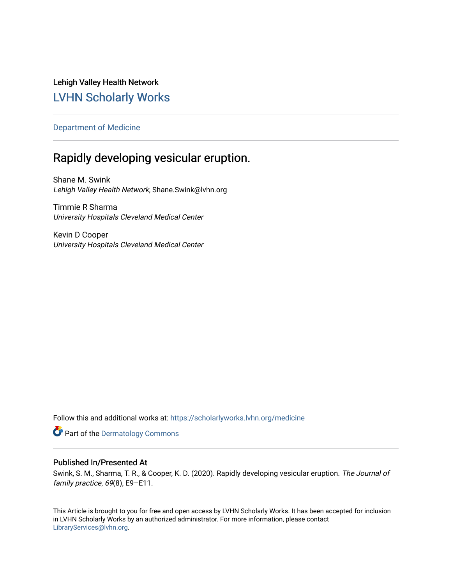Lehigh Valley Health Network [LVHN Scholarly Works](https://scholarlyworks.lvhn.org/)

# [Department of Medicine](https://scholarlyworks.lvhn.org/medicine)

# Rapidly developing vesicular eruption.

Shane M. Swink Lehigh Valley Health Network, Shane.Swink@lvhn.org

Timmie R Sharma University Hospitals Cleveland Medical Center

Kevin D Cooper University Hospitals Cleveland Medical Center

Follow this and additional works at: [https://scholarlyworks.lvhn.org/medicine](https://scholarlyworks.lvhn.org/medicine?utm_source=scholarlyworks.lvhn.org%2Fmedicine%2F1883&utm_medium=PDF&utm_campaign=PDFCoverPages) 

Part of the [Dermatology Commons](http://network.bepress.com/hgg/discipline/684?utm_source=scholarlyworks.lvhn.org%2Fmedicine%2F1883&utm_medium=PDF&utm_campaign=PDFCoverPages) 

# Published In/Presented At

Swink, S. M., Sharma, T. R., & Cooper, K. D. (2020). Rapidly developing vesicular eruption. The Journal of family practice, 69(8), E9–E11.

This Article is brought to you for free and open access by LVHN Scholarly Works. It has been accepted for inclusion in LVHN Scholarly Works by an authorized administrator. For more information, please contact [LibraryServices@lvhn.org](mailto:LibraryServices@lvhn.org).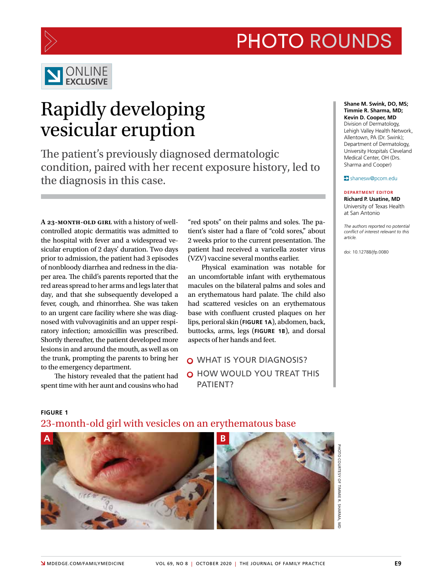



# ONLINE **EXCLUSIVE**

# Rapidly developing vesicular eruption

The patient's previously diagnosed dermatologic condition, paired with her recent exposure history, led to the diagnosis in this case.

**A 23-month-old girl** with a history of wellcontrolled atopic dermatitis was admitted to the hospital with fever and a widespread vesicular eruption of 2 days' duration. Two days prior to admission, the patient had 3 episodes of nonbloody diarrhea and redness in the diaper area. The child's parents reported that the red areas spread to her arms and legs later that day, and that she subsequently developed a fever, cough, and rhinorrhea. She was taken to an urgent care facility where she was diagnosed with vulvovaginitis and an upper respiratory infection; amoxicillin was prescribed. Shortly thereafter, the patient developed more lesions in and around the mouth, as well as on the trunk, prompting the parents to bring her to the emergency department.

The history revealed that the patient had spent time with her aunt and cousins who had

"red spots" on their palms and soles. The patient's sister had a flare of "cold sores," about 2 weeks prior to the current presentation. The patient had received a varicella zoster virus (VZV) vaccine several months earlier.

Physical examination was notable for an uncomfortable infant with erythematous macules on the bilateral palms and soles and an erythematous hard palate. The child also had scattered vesicles on an erythematous base with confluent crusted plaques on her lips, perioral skin (**FIGURE 1A**), abdomen, back, buttocks, arms, legs (**FIGURE 1B**), and dorsal aspects of her hands and feet.

O WHAT IS YOUR DIAGNOSIS? O HOW WOULD YOU TREAT THIS PATIENT?

**Shane M. Swink, DO, MS; Timmie R. Sharma, MD; Kevin D. Cooper, MD** Division of Dermatology, Lehigh Valley Health Network, Allentown, PA (Dr. Swink); Department of Dermatology, University Hospitals Cleveland Medical Center, OH (Drs. Sharma and Cooper)

### shanesw@pcom.edu

### **DEPARTMENT EDITOR**

**Richard P. Usatine, MD** University of Texas Health at San Antonio

*The authors reported no potential conflict of interest relevant to this article.*

doi: 10.12788/jfp.0080

# **FIGURE 1**

# **A B**

# 23-month-old girl with vesicles on an erythematous base

PHOTO COURTESY OF TIMMIE R. SHARMA, MD**IOTO COURTESY OF TIMMIE R. SHARMA,**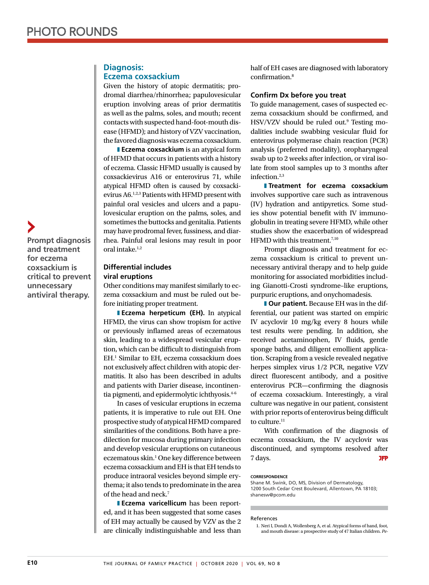## **Diagnosis: Eczema coxsackium**

Given the history of atopic dermatitis; prodromal diarrhea/rhinorrhea; papulovesicular eruption involving areas of prior dermatitis as well as the palms, soles, and mouth; recent contacts with suspected hand-foot-mouth disease (HFMD); and history of VZV vaccination, the favored diagnosis was eczema coxsackium.

**Eczema coxsackium** is an atypical form of HFMD that occurs in patients with a history of eczema. Classic HFMD usually is caused by coxsackievirus A16 or enterovirus 71, while atypical HFMD often is caused by coxsackievirus A6.1,2,3 Patients with HFMD present with painful oral vesicles and ulcers and a papulovesicular eruption on the palms, soles, and sometimes the buttocks and genitalia. Patients may have prodromal fever, fussiness, and diarrhea. Painful oral lesions may result in poor oral intake.<sup>1,2</sup>

### **Differential includes viral eruptions**

Other conditions may manifest similarly to eczema coxsackium and must be ruled out before initiating proper treatment.

❚ **Eczema herpeticum (EH).** In atypical HFMD, the virus can show tropism for active or previously inflamed areas of eczematous skin, leading to a widespread vesicular eruption, which can be difficult to distinguish from EH.1 Similar to EH, eczema coxsackium does not exclusively affect children with atopic dermatitis. It also has been described in adults and patients with Darier disease, incontinentia pigmenti, and epidermolytic ichthyosis.<sup>4-6</sup>

In cases of vesicular eruptions in eczema patients, it is imperative to rule out EH. One prospective study of atypical HFMD compared similarities of the conditions. Both have a predilection for mucosa during primary infection and develop vesicular eruptions on cutaneous eczematous skin.<sup>1</sup> One key difference between eczema coxsackium and EH is that EH tends to produce intraoral vesicles beyond simple erythema; it also tends to predominate in the area of the head and neck.7

❚ **Eczema varicellicum** has been reported, and it has been suggested that some cases of EH may actually be caused by VZV as the 2 are clinically indistinguishable and less than half of EH cases are diagnosed with laboratory confirmation.8

### **Confirm Dx before you treat**

To guide management, cases of suspected eczema coxsackium should be confirmed, and HSV/VZV should be ruled out.<sup>9</sup> Testing modalities include swabbing vesicular fluid for enterovirus polymerase chain reaction (PCR) analysis (preferred modality), oropharyngeal swab up to 2 weeks after infection, or viral isolate from stool samples up to 3 months after infection.2,3

❚ **Treatment for eczema coxsackium** involves supportive care such as intravenous (IV) hydration and antipyretics. Some studies show potential benefit with IV immunoglobulin in treating severe HFMD, while other studies show the exacerbation of widespread HFMD with this treatment.<sup>7,10</sup>

Prompt diagnosis and treatment for eczema coxsackium is critical to prevent unnecessary antiviral therapy and to help guide monitoring for associated morbidities including Gianotti-Crosti syndrome–like eruptions, purpuric eruptions, and onychomadesis.

**I Our patient.** Because EH was in the differential, our patient was started on empiric IV acyclovir 10 mg/kg every 8 hours while test results were pending. In addition, she received acetaminophen, IV fluids, gentle sponge baths, and diligent emollient application. Scraping from a vesicle revealed negative herpes simplex virus 1/2 PCR, negative VZV direct fluorescent antibody, and a positive enterovirus PCR—confirming the diagnosis of eczema coxsackium. Interestingly, a viral culture was negative in our patient, consistent with prior reports of enterovirus being difficult to culture.<sup>11</sup>

With confirmation of the diagnosis of eczema coxsackium, the IV acyclovir was discontinued, and symptoms resolved after 7 days.

#### **CORRESPONDENCE**

Shane M. Swink, DO, MS, Division of Dermatology, 1200 South Cedar Crest Boulevard, Allentown, PA 18103; shanesw@pcom.edu

### References

**Prompt diagnosis and treatment for eczema coxsackium is critical to prevent unnecessary antiviral therapy.**

<sup>1.</sup> Neri I, Dondi A, Wollenberg A, et al. Atypical forms of hand, foot, and mouth disease: a prospective study of 47 Italian children. *Pe-*